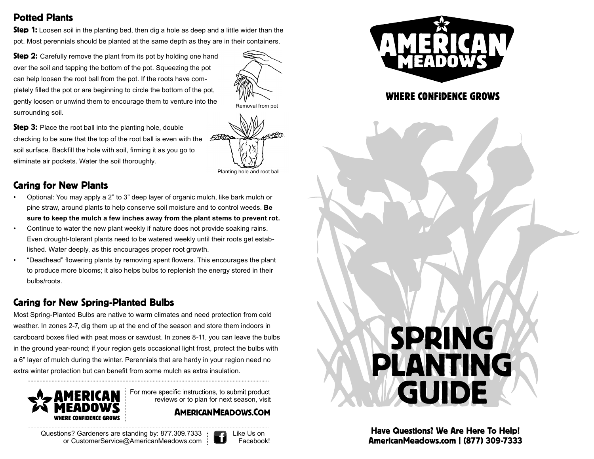# Potted Plants

**Step 1:** Loosen soil in the planting bed, then dig a hole as deep and a little wider than the pot. Most perennials should be planted at the same depth as they are in their containers.

**Step 2:** Carefully remove the plant from its pot by holding one hand over the soil and tapping the bottom of the pot. Squeezing the pot can help loosen the root ball from the pot. If the roots have completely filled the pot or are beginning to circle the bottom of the pot, gently loosen or unwind them to encourage them to venture into the surrounding soil.

**Step 3:** Place the root ball into the planting hole, double checking to be sure that the top of the root ball is even with the soil surface. Backfill the hole with soil, firming it as you go to eliminate air pockets. Water the soil thoroughly.

# Caring for New Plants

- Optional: You may apply a 2" to 3" deep layer of organic mulch, like bark mulch or pine straw, around plants to help conserve soil moisture and to control weeds. **Be sure to keep the mulch a few inches away from the plant stems to prevent rot.**
- Continue to water the new plant weekly if nature does not provide soaking rains. Even drought-tolerant plants need to be watered weekly until their roots get established. Water deeply, as this encourages proper root growth.
- "Deadhead" flowering plants by removing spent flowers. This encourages the plant to produce more blooms; it also helps bulbs to replenish the energy stored in their bulbs/roots.

# Caring for New Spring-Planted Bulbs

Most Spring-Planted Bulbs are native to warm climates and need protection from cold weather. In zones 2-7, dig them up at the end of the season and store them indoors in cardboard boxes filed with peat moss or sawdust. In zones 8-11, you can leave the bulbs in the ground year-round; if your region gets occasional light frost, protect the bulbs with a 6" layer of mulch during the winter. Perennials that are hardy in your region need no extra winter protection but can benefit from some mulch as extra insulation.



For more specific instructions, to submit product reviews or to plan for next season, visit

**AMERICAN MEADOWS.COM** 

Questions? Gardeners are standing by: 877.309.7333 Like Us on<br>Or CustomerService@AmericanMeadows.com or [CustomerService@AmericanMeadows.com](mailto:CustomerService@AmericanMeadows.com) :





**WHERE CONFIDENCE GROWS** 

# SPRING PLANTING GUIDE

Have Questions? We Are Here To Help! [AmericanMeadows.com](https://AmericanMeadows.com) | (877) 309-7333